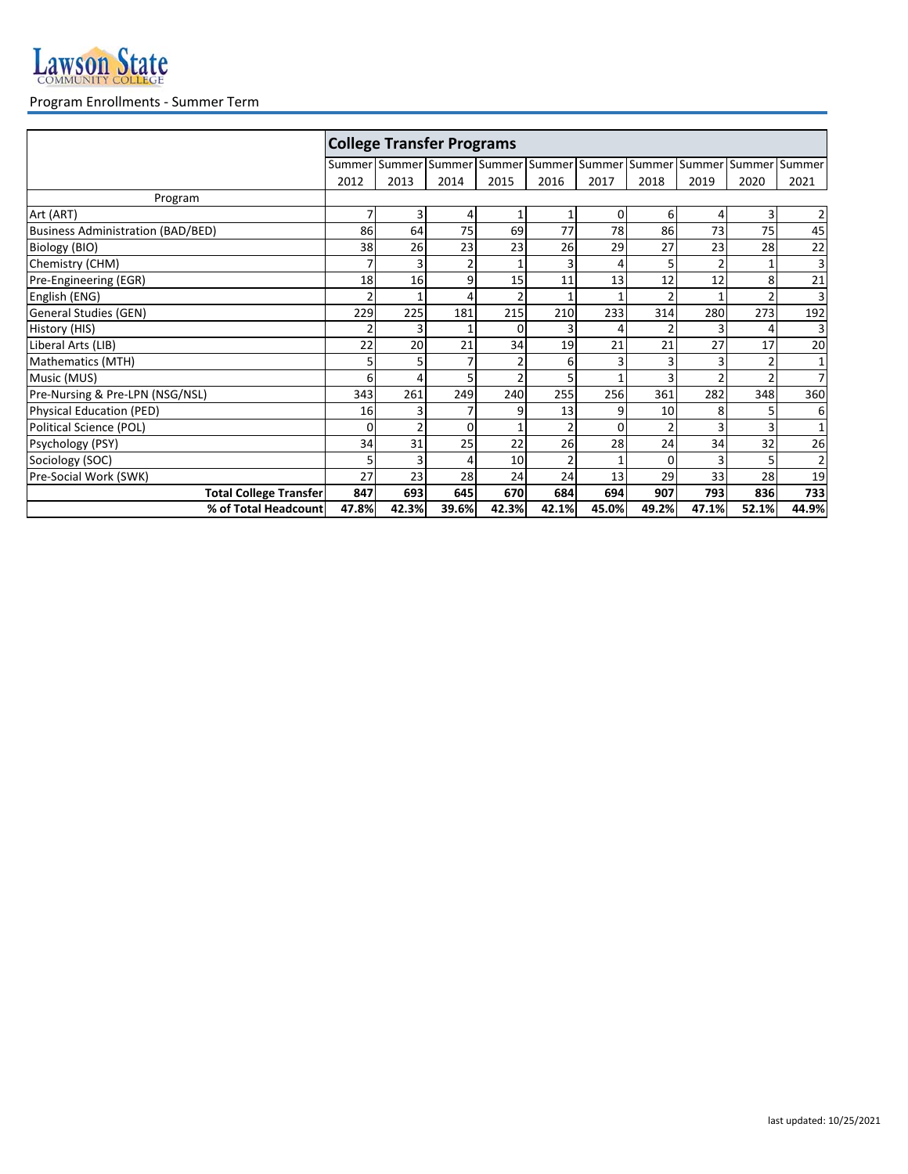

## Program Enrollments - Summer Term

|                                          | <b>College Transfer Programs</b> |                |                             |          |                |               |          |                |       |                |  |
|------------------------------------------|----------------------------------|----------------|-----------------------------|----------|----------------|---------------|----------|----------------|-------|----------------|--|
|                                          |                                  |                | Summer Summer Summer Summer |          | Summer         | Summer Summer |          | Summer         |       | Summer Summer  |  |
|                                          | 2012                             | 2013           | 2014                        | 2015     | 2016           | 2017          | 2018     | 2019           | 2020  | 2021           |  |
| Program                                  |                                  |                |                             |          |                |               |          |                |       |                |  |
| Art (ART)                                | 7                                | 3              | 4                           |          | 1              | $\Omega$      | 6        | 4              | 3     | $\overline{2}$ |  |
| <b>Business Administration (BAD/BED)</b> | 86                               | 64             | 75                          | 69       | 77             | 78            | 86       | 73             | 75    | 45             |  |
| Biology (BIO)                            | 38                               | 26             | 23                          | 23       | 26             | 29            | 27       | 23             | 28    | 22             |  |
| Chemistry (CHM)                          |                                  | 3              |                             |          | 3              |               | 5        | $\overline{2}$ |       | 3              |  |
| Pre-Engineering (EGR)                    | 18                               | 16             | 9                           | 15       | 11             | 13            | 12       | 12             | 8     | 21             |  |
| English (ENG)                            | $\overline{2}$                   | 1              | 4                           |          | 1              |               | 2        |                |       | 3              |  |
| General Studies (GEN)                    | 229                              | 225            | 181                         | 215      | 210            | 233           | 314      | 280            | 273   | 192            |  |
| History (HIS)                            |                                  | 3              |                             | $\Omega$ | 3              |               |          | 3              |       | 3              |  |
| Liberal Arts (LIB)                       | 22                               | 20             | 21                          | 34       | 19             | 21            | 21       | 27             | 17    | 20             |  |
| Mathematics (MTH)                        | 5                                | 5              |                             |          | 6              |               | 3        | 3              |       | 1              |  |
| Music (MUS)                              | 6                                | 4              |                             |          | 5              |               | 3        | $\overline{2}$ |       | $\overline{7}$ |  |
| Pre-Nursing & Pre-LPN (NSG/NSL)          | 343                              | 261            | 249                         | 240      | 255            | 256           | 361      | 282            | 348   | 360            |  |
| Physical Education (PED)                 | 16                               | 3              |                             | 9        | 13             | 9             | 10       | 8              |       | 6              |  |
| Political Science (POL)                  | $\Omega$                         | $\overline{2}$ | 0                           |          | $\overline{2}$ | $\Omega$      | 2        | 3              |       | $\mathbf{1}$   |  |
| Psychology (PSY)                         | 34                               | 31             | 25                          | 22       | 26             | 28            | 24       | 34             | 32    | 26             |  |
| Sociology (SOC)                          |                                  | 3              |                             | 10       |                |               | $\Omega$ |                |       | 2              |  |
| Pre-Social Work (SWK)                    | 27                               | 23             | 28                          | 24       | 24             | 13            | 29       | 33             | 28    | 19             |  |
| <b>Total College Transfer</b>            | 847                              | 693            | 645                         | 670      | 684            | 694           | 907      | 793            | 836   | 733            |  |
| % of Total Headcount                     | 47.8%                            | 42.3%          | 39.6%                       | 42.3%    | 42.1%          | 45.0%         | 49.2%    | 47.1%          | 52.1% | 44.9%          |  |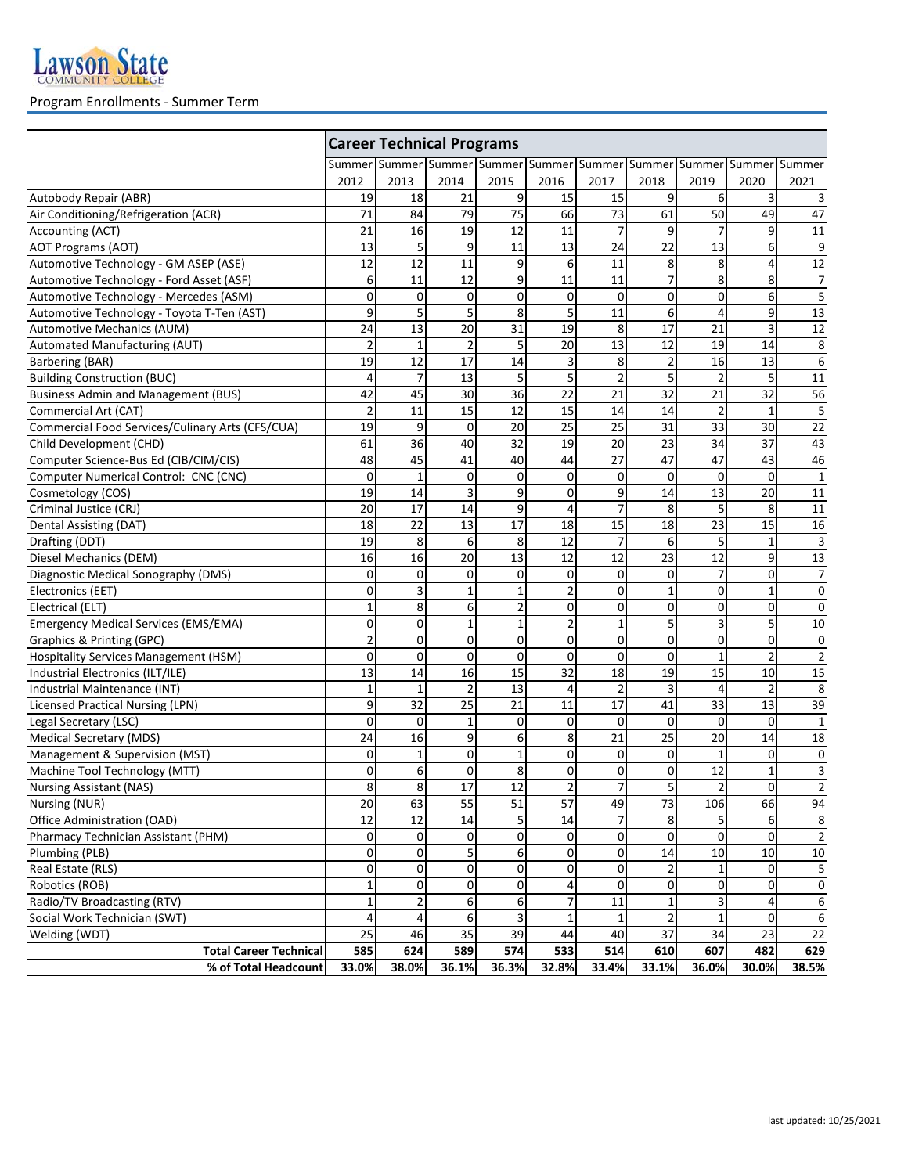

## Program Enrollments - Summer Term

|                                                  | <b>Career Technical Programs</b><br>Summer Summer Summer Summer Summer Summer Summer Summer Summer Summer Summer |                |                |                |                |                 |                         |                 |                 |                         |  |
|--------------------------------------------------|------------------------------------------------------------------------------------------------------------------|----------------|----------------|----------------|----------------|-----------------|-------------------------|-----------------|-----------------|-------------------------|--|
|                                                  |                                                                                                                  |                |                |                |                |                 |                         |                 |                 |                         |  |
|                                                  | 2012                                                                                                             | 2013           | 2014           | 2015           | 2016           | 2017            | 2018                    | 2019            | 2020            | 2021                    |  |
| Autobody Repair (ABR)                            | 19                                                                                                               | 18             | 21             | 9              | 15             | 15              | 9                       | 6               | 3               |                         |  |
| Air Conditioning/Refrigeration (ACR)             | 71                                                                                                               | 84             | 79             | 75             | 66             | 73              | 61                      | 50              | 49              | 47                      |  |
| Accounting (ACT)                                 | 21                                                                                                               | 16             | 19             | 12             | 11             | 7               | 9                       | 7               | 9               | 11                      |  |
| AOT Programs (AOT)                               | 13                                                                                                               | 5              | 9              | 11             | 13             | 24              | 22                      | 13              | 6               | 9                       |  |
| Automotive Technology - GM ASEP (ASE)            | 12                                                                                                               | 12             | 11             | 9              | 6              | 11              | 8                       | 8               | 4               | 12                      |  |
| Automotive Technology - Ford Asset (ASF)         | 6                                                                                                                | 11             | 12             | 9              | 11             | 11              | $\overline{7}$          | 8               | 8               | 7                       |  |
| Automotive Technology - Mercedes (ASM)           | 0                                                                                                                | $\mathbf 0$    | $\mathbf 0$    | $\pmb{0}$      | 0              | $\mathsf 0$     | 0                       | $\mathbf 0$     | 6               | 5                       |  |
| Automotive Technology - Toyota T-Ten (AST)       | 9                                                                                                                | 5              | 5              | $\overline{8}$ | 5              | 11              | $\overline{6}$          | $\overline{4}$  | 9               | $\overline{13}$         |  |
| Automotive Mechanics (AUM)                       | 24                                                                                                               | 13             | 20             | 31             | 19             | 8               | 17                      | 21              | 3               | 12                      |  |
| Automated Manufacturing (AUT)                    | $\overline{2}$                                                                                                   | $\mathbf{1}$   | $\overline{2}$ | 5              | 20             | 13              | 12                      | 19              | 14              | 8                       |  |
| Barbering (BAR)                                  | 19                                                                                                               | 12             | 17             | 14             | 3              | 8               | $\overline{\mathbf{c}}$ | 16              | 13              | 6                       |  |
| <b>Building Construction (BUC)</b>               | 4                                                                                                                | 7              | 13             | 5              | 5              | $\overline{2}$  | 5                       | $\overline{2}$  | 5               | 11                      |  |
| <b>Business Admin and Management (BUS)</b>       | 42                                                                                                               | 45             | 30             | 36             | 22             | 21              | 32                      | 21              | 32              | $\overline{56}$         |  |
| Commercial Art (CAT)                             | $\overline{2}$                                                                                                   | 11             | 15             | 12             | 15             | 14              | 14                      | $\overline{2}$  | $\mathbf{1}$    | 5                       |  |
| Commercial Food Services/Culinary Arts (CFS/CUA) | $\overline{19}$                                                                                                  | 9              | 0              | 20             | 25             | $\overline{25}$ | $\overline{31}$         | 33              | 30              | 22                      |  |
| Child Development (CHD)                          | 61                                                                                                               | 36             | 40             | 32             | 19             | 20              | 23                      | 34              | 37              | 43                      |  |
| Computer Science-Bus Ed (CIB/CIM/CIS)            | 48                                                                                                               | 45             | 41             | 40             | 44             | 27              | 47                      | 47              | 43              | 46                      |  |
| Computer Numerical Control: CNC (CNC)            | 0                                                                                                                | $\mathbf{1}$   | $\mathbf 0$    | 0              | $\mathbf 0$    | $\mathbf 0$     | 0                       | $\mathbf 0$     | $\mathbf 0$     | $\mathbf{1}$            |  |
| Cosmetology (COS)                                | $\overline{19}$                                                                                                  | 14             | 3              | 9              | 0              | 9               | 14                      | 13              | 20              | 11                      |  |
| Criminal Justice (CRJ)                           | 20                                                                                                               | 17             | 14             | 9              | $\overline{a}$ | $\overline{7}$  | 8                       | 5               | 8               | 11                      |  |
| Dental Assisting (DAT)                           | 18                                                                                                               | 22             | 13             | 17             | 18             | 15              | 18                      | $\overline{23}$ | $\overline{15}$ | 16                      |  |
| Drafting (DDT)                                   | 19                                                                                                               | 8              | 6              | 8              | 12             | $\overline{7}$  | 6                       | 5               | $\mathbf{1}$    | $\overline{3}$          |  |
| Diesel Mechanics (DEM)                           | 16                                                                                                               | 16             | 20             | 13             | 12             | 12              | 23                      | 12              | 9               | 13                      |  |
| Diagnostic Medical Sonography (DMS)              | 0                                                                                                                | 0              | 0              | 0              | 0              | 0               | 0                       | $\overline{7}$  | 0               | 7                       |  |
| Electronics (EET)                                | 0                                                                                                                | 3              | $\mathbf 1$    | $\mathbf 1$    | $\overline{2}$ | 0               | $\mathbf 1$             | $\mathbf 0$     | $\mathbf{1}$    | $\mathbf 0$             |  |
| Electrical (ELT)                                 | $\mathbf{1}$                                                                                                     | 8              | 6              | $\overline{2}$ | $\mathbf 0$    | $\mathbf 0$     | $\mathbf 0$             | $\mathbf 0$     | $\mathbf 0$     | $\mathbf 0$             |  |
| Emergency Medical Services (EMS/EMA)             | 0                                                                                                                | $\mathbf 0$    | $\mathbf{1}$   | $\mathbf{1}$   | $\overline{2}$ | $\mathbf{1}$    | 5                       | 3               | 5               | 10                      |  |
| Graphics & Printing (GPC)                        | $\overline{2}$                                                                                                   | 0              | 0              | 0              | $\mathbf 0$    | 0               | 0                       | $\mathbf 0$     | 0               | 0                       |  |
| Hospitality Services Management (HSM)            | $\mathbf 0$                                                                                                      | $\mathbf 0$    | $\mathbf 0$    | 0              | 0              | 0               | 0                       | $\mathbf{1}$    | $\overline{2}$  | $\overline{\mathbf{c}}$ |  |
| Industrial Electronics (ILT/ILE)                 | 13                                                                                                               | 14             | 16             | 15             | 32             | 18              | 19                      | 15              | 10              | $\overline{15}$         |  |
| Industrial Maintenance (INT)                     | 1                                                                                                                | $\mathbf{1}$   | 2              | 13             | 4              | 2               | 3                       | $\overline{4}$  | 2               | 8                       |  |
| <b>Licensed Practical Nursing (LPN)</b>          | 9                                                                                                                | 32             | 25             | 21             | 11             | 17              | 41                      | 33              | 13              | 39                      |  |
| Legal Secretary (LSC)                            | 0                                                                                                                | 0              | $\mathbf{1}$   | 0              | $\mathbf 0$    | $\mathbf 0$     | 0                       | $\mathbf 0$     | $\mathbf 0$     | $\mathbf{1}$            |  |
| <b>Medical Secretary (MDS)</b>                   | 24                                                                                                               | 16             | 9              | 6              | 8              | 21              | 25                      | 20              | 14              | 18                      |  |
| Management & Supervision (MST)                   | 0                                                                                                                | $\mathbf{1}$   | 0              | $\mathbf 1$    | 0              | 0               | 0                       | $\mathbf{1}$    | 0               | $\pmb{0}$               |  |
| Machine Tool Technology (MTT)                    | 0                                                                                                                | 6              | 0              | 8              | $\mathbf 0$    | 0               | 0                       | 12              | $\mathbf{1}$    | 3                       |  |
| <b>Nursing Assistant (NAS)</b>                   | 8                                                                                                                | 8              | 17             | 12             | $\overline{2}$ | $\overline{7}$  | 5                       | $\overline{2}$  | $\Omega$        | $\overline{2}$          |  |
| Nursing (NUR)                                    | 20                                                                                                               | 63             | 55             | 51             | 57             | 49              | 73                      | 106             | 66              | 94                      |  |
| Office Administration (OAD)                      | 12                                                                                                               | 12             | 14             | 5              | 14             | $\overline{7}$  | 8                       | 5               | 6               | 8                       |  |
| Pharmacy Technician Assistant (PHM)              | 0                                                                                                                | 0              | 0              | 0              | $\mathbf 0$    | 0               | 0                       | 0               | $\mathbf 0$     | $\overline{2}$          |  |
| Plumbing (PLB)                                   | 0                                                                                                                | 0              | 5              | 6              | $\mathbf 0$    | 0               | 14                      | 10              | 10              | $10\,$                  |  |
| Real Estate (RLS)                                | 0                                                                                                                | 0              | 0              | 0              | $\mathbf{O}$   | 0               | 2                       | $\mathbf{1}$    | 0               | 5                       |  |
| Robotics (ROB)                                   | 1                                                                                                                | 0              | 0              | 0              | 4              | 0               | 0                       | 0               | 0               | 0                       |  |
| Radio/TV Broadcasting (RTV)                      | $\mathbf{1}$                                                                                                     | $\overline{2}$ | 6              | 6              | $\overline{7}$ | 11              | $\mathbf{1}$            | 3               | 4               | 6                       |  |
| Social Work Technician (SWT)                     | 4                                                                                                                | 4              | 6              | 3              | 1              | 1               | $\overline{2}$          | $\mathbf{1}$    | 0               | 6                       |  |
| Welding (WDT)                                    | 25                                                                                                               | 46             | 35             | 39             | 44             | 40              | $\overline{37}$         | 34              | 23              | 22                      |  |
| <b>Total Career Technical</b>                    | 585                                                                                                              | 624            | 589            | 574            | 533            | 514             | 610                     | 607             | 482             | 629                     |  |
| % of Total Headcount                             | 33.0%                                                                                                            | 38.0%          | 36.1%          | 36.3%          | 32.8%          | 33.4%           | 33.1%                   | 36.0%           | 30.0%           | 38.5%                   |  |